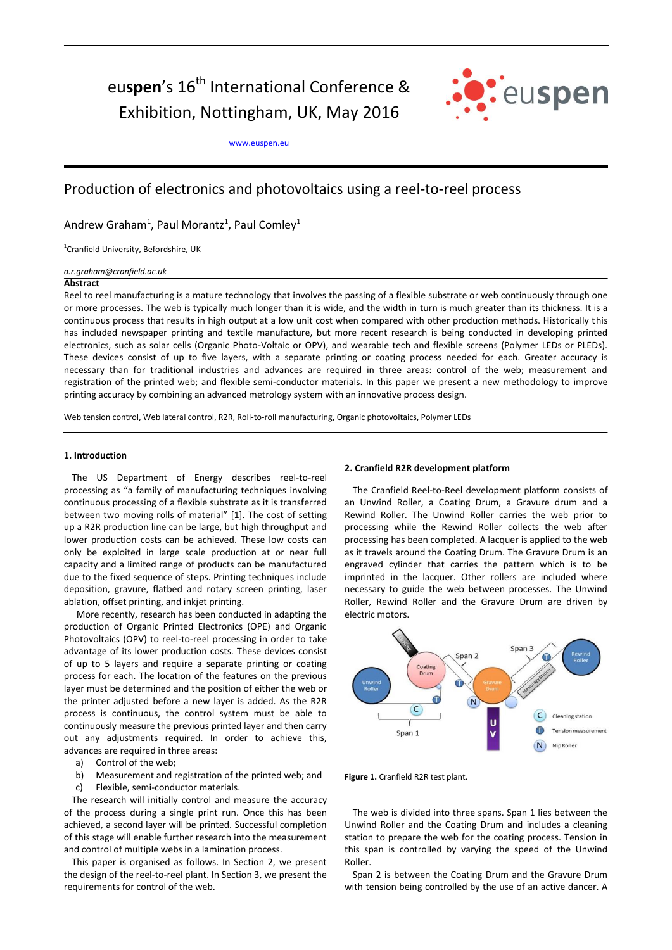eu**spen**'s 16<sup>th</sup> International Conference & Exhibition, Nottingham, UK, May 2016



[www.euspen.eu](http://www.euspen.eu/)

# Production of electronics and photovoltaics using a reel-to-reel process

Andrew Graham<sup>1</sup>, Paul Morantz<sup>1</sup>, Paul Comley<sup>1</sup>

1 Cranfield University, Befordshire, UK

*a.r.graham@cranfield.ac.uk*

#### **Abstract**

Reel to reel manufacturing is a mature technology that involves the passing of a flexible substrate or web continuously through one or more processes. The web is typically much longer than it is wide, and the width in turn is much greater than its thickness. It is a continuous process that results in high output at a low unit cost when compared with other production methods. Historically this has included newspaper printing and textile manufacture, but more recent research is being conducted in developing printed electronics, such as solar cells (Organic Photo-Voltaic or OPV), and wearable tech and flexible screens (Polymer LEDs or PLEDs). These devices consist of up to five layers, with a separate printing or coating process needed for each. Greater accuracy is necessary than for traditional industries and advances are required in three areas: control of the web; measurement and registration of the printed web; and flexible semi-conductor materials. In this paper we present a new methodology to improve printing accuracy by combining an advanced metrology system with an innovative process design.

Web tension control, Web lateral control, R2R, Roll-to-roll manufacturing, Organic photovoltaics, Polymer LEDs

## **1. Introduction**

The US Department of Energy describes reel-to-reel processing as "a family of manufacturing techniques involving continuous processing of a flexible substrate as it is transferred between two moving rolls of material" [1]. The cost of setting up a R2R production line can be large, but high throughput and lower production costs can be achieved. These low costs can only be exploited in large scale production at or near full capacity and a limited range of products can be manufactured due to the fixed sequence of steps. Printing techniques include deposition, gravure, flatbed and rotary screen printing, laser ablation, offset printing, and inkjet printing.

 More recently, research has been conducted in adapting the production of Organic Printed Electronics (OPE) and Organic Photovoltaics (OPV) to reel-to-reel processing in order to take advantage of its lower production costs. These devices consist of up to 5 layers and require a separate printing or coating process for each. The location of the features on the previous layer must be determined and the position of either the web or the printer adjusted before a new layer is added. As the R2R process is continuous, the control system must be able to continuously measure the previous printed layer and then carry out any adjustments required. In order to achieve this, advances are required in three areas:

- a) Control of the web;
- b) Measurement and registration of the printed web; and
- c) Flexible, semi-conductor materials.

The research will initially control and measure the accuracy of the process during a single print run. Once this has been achieved, a second layer will be printed. Successful completion of this stage will enable further research into the measurement and control of multiple webs in a lamination process.

This paper is organised as follows. In Section 2, we present the design of the reel-to-reel plant. In Section 3, we present the requirements for control of the web.

## **2. Cranfield R2R development platform**

The Cranfield Reel-to-Reel development platform consists of an Unwind Roller, a Coating Drum, a Gravure drum and a Rewind Roller. The Unwind Roller carries the web prior to processing while the Rewind Roller collects the web after processing has been completed. A lacquer is applied to the web as it travels around the Coating Drum. The Gravure Drum is an engraved cylinder that carries the pattern which is to be imprinted in the lacquer. Other rollers are included where necessary to guide the web between processes. The Unwind Roller, Rewind Roller and the Gravure Drum are driven by electric motors.



**Figure 1.** Cranfield R2R test plant.

The web is divided into three spans. Span 1 lies between the Unwind Roller and the Coating Drum and includes a cleaning station to prepare the web for the coating process. Tension in this span is controlled by varying the speed of the Unwind Roller.

Span 2 is between the Coating Drum and the Gravure Drum with tension being controlled by the use of an active dancer. A